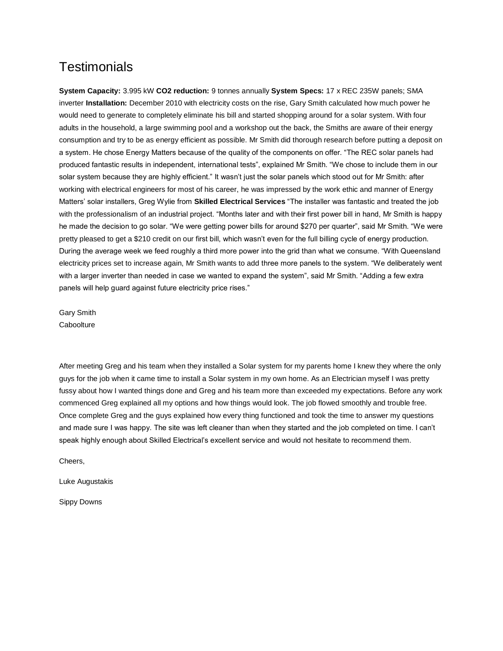## **Testimonials**

**System Capacity:** 3.995 kW **CO2 reduction:** 9 tonnes annually **System Specs:** 17 x REC 235W panels; SMA inverter **Installation:** December 2010 with electricity costs on the rise, Gary Smith calculated how much power he would need to generate to completely eliminate his bill and started shopping around for a solar system. With four adults in the household, a large swimming pool and a workshop out the back, the Smiths are aware of their energy consumption and try to be as energy efficient as possible. Mr Smith did thorough research before putting a deposit on a system. He chose Energy Matters because of the quality of the components on offer. "The REC solar panels had produced fantastic results in independent, international tests", explained Mr Smith. "We chose to include them in our solar system because they are highly efficient." It wasn't just the solar panels which stood out for Mr Smith: after working with electrical engineers for most of his career, he was impressed by the work ethic and manner of Energy Matters' solar installers, Greg Wylie from **Skilled Electrical Services** "The installer was fantastic and treated the job with the professionalism of an industrial project. "Months later and with their first power bill in hand, Mr Smith is happy he made the decision to go solar. "We were getting power bills for around \$270 per quarter", said Mr Smith. "We were pretty pleased to get a \$210 credit on our first bill, which wasn't even for the full billing cycle of energy production. During the average week we feed roughly a third more power into the grid than what we consume. "With Queensland electricity prices set to increase again, Mr Smith wants to add three more panels to the system. "We deliberately went with a larger inverter than needed in case we wanted to expand the system", said Mr Smith. "Adding a few extra panels will help guard against future electricity price rises."

Gary Smith **Caboolture** 

After meeting Greg and his team when they installed a Solar system for my parents home I knew they where the only guys for the job when it came time to install a Solar system in my own home. As an Electrician myself I was pretty fussy about how I wanted things done and Greg and his team more than exceeded my expectations. Before any work commenced Greg explained all my options and how things would look. The job flowed smoothly and trouble free. Once complete Greg and the guys explained how every thing functioned and took the time to answer my questions and made sure I was happy. The site was left cleaner than when they started and the job completed on time. I can't speak highly enough about Skilled Electrical's excellent service and would not hesitate to recommend them.

Cheers,

Luke Augustakis

Sippy Downs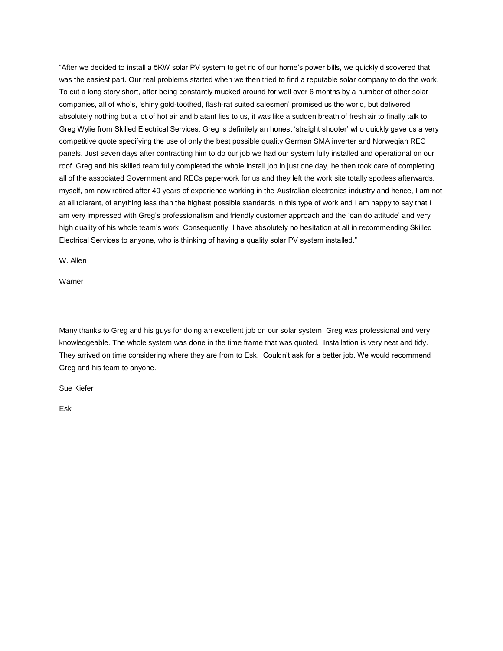"After we decided to install a 5KW solar PV system to get rid of our home's power bills, we quickly discovered that was the easiest part. Our real problems started when we then tried to find a reputable solar company to do the work. To cut a long story short, after being constantly mucked around for well over 6 months by a number of other solar companies, all of who's, 'shiny gold-toothed, flash-rat suited salesmen' promised us the world, but delivered absolutely nothing but a lot of hot air and blatant lies to us, it was like a sudden breath of fresh air to finally talk to Greg Wylie from Skilled Electrical Services. Greg is definitely an honest 'straight shooter' who quickly gave us a very competitive quote specifying the use of only the best possible quality German SMA inverter and Norwegian REC panels. Just seven days after contracting him to do our job we had our system fully installed and operational on our roof. Greg and his skilled team fully completed the whole install job in just one day, he then took care of completing all of the associated Government and RECs paperwork for us and they left the work site totally spotless afterwards. I myself, am now retired after 40 years of experience working in the Australian electronics industry and hence, I am not at all tolerant, of anything less than the highest possible standards in this type of work and I am happy to say that I am very impressed with Greg's professionalism and friendly customer approach and the 'can do attitude' and very high quality of his whole team's work. Consequently, I have absolutely no hesitation at all in recommending Skilled Electrical Services to anyone, who is thinking of having a quality solar PV system installed."

W. Allen

Warner

Many thanks to Greg and his guys for doing an excellent job on our solar system. Greg was professional and very knowledgeable. The whole system was done in the time frame that was quoted.. Installation is very neat and tidy. They arrived on time considering where they are from to Esk. Couldn't ask for a better job. We would recommend Greg and his team to anyone.

Sue Kiefer

Esk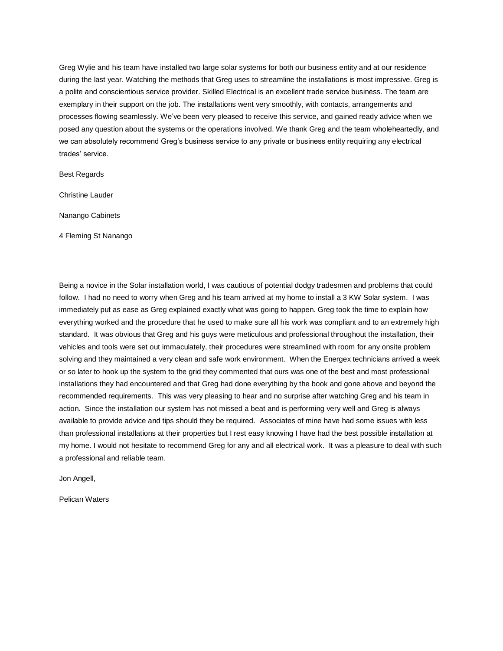Greg Wylie and his team have installed two large solar systems for both our business entity and at our residence during the last year. Watching the methods that Greg uses to streamline the installations is most impressive. Greg is a polite and conscientious service provider. Skilled Electrical is an excellent trade service business. The team are exemplary in their support on the job. The installations went very smoothly, with contacts, arrangements and processes flowing seamlessly. We've been very pleased to receive this service, and gained ready advice when we posed any question about the systems or the operations involved. We thank Greg and the team wholeheartedly, and we can absolutely recommend Greg's business service to any private or business entity requiring any electrical trades' service.

Best Regards

Christine Lauder

Nanango Cabinets

4 Fleming St Nanango

Being a novice in the Solar installation world, I was cautious of potential dodgy tradesmen and problems that could follow. I had no need to worry when Greg and his team arrived at my home to install a 3 KW Solar system. I was immediately put as ease as Greg explained exactly what was going to happen. Greg took the time to explain how everything worked and the procedure that he used to make sure all his work was compliant and to an extremely high standard. It was obvious that Greg and his guys were meticulous and professional throughout the installation, their vehicles and tools were set out immaculately, their procedures were streamlined with room for any onsite problem solving and they maintained a very clean and safe work environment. When the Energex technicians arrived a week or so later to hook up the system to the grid they commented that ours was one of the best and most professional installations they had encountered and that Greg had done everything by the book and gone above and beyond the recommended requirements. This was very pleasing to hear and no surprise after watching Greg and his team in action. Since the installation our system has not missed a beat and is performing very well and Greg is always available to provide advice and tips should they be required. Associates of mine have had some issues with less than professional installations at their properties but I rest easy knowing I have had the best possible installation at my home. I would not hesitate to recommend Greg for any and all electrical work. It was a pleasure to deal with such a professional and reliable team.

Jon Angell,

Pelican Waters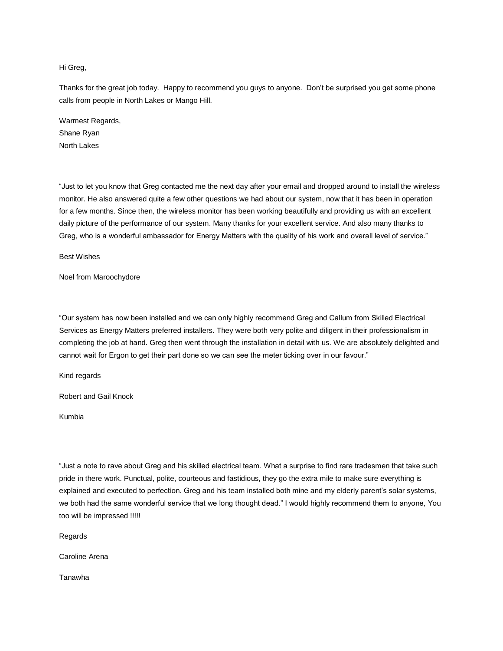## Hi Greg,

Thanks for the great job today. Happy to recommend you guys to anyone. Don't be surprised you get some phone calls from people in North Lakes or Mango Hill.

Warmest Regards, Shane Ryan North Lakes

"Just to let you know that Greg contacted me the next day after your email and dropped around to install the wireless monitor. He also answered quite a few other questions we had about our system, now that it has been in operation for a few months. Since then, the wireless monitor has been working beautifully and providing us with an excellent daily picture of the performance of our system. Many thanks for your excellent service. And also many thanks to Greg, who is a wonderful ambassador for Energy Matters with the quality of his work and overall level of service."

Best Wishes

Noel from Maroochydore

"Our system has now been installed and we can only highly recommend Greg and Callum from Skilled Electrical Services as Energy Matters preferred installers. They were both very polite and diligent in their professionalism in completing the job at hand. Greg then went through the installation in detail with us. We are absolutely delighted and cannot wait for Ergon to get their part done so we can see the meter ticking over in our favour."

Kind regards

Robert and Gail Knock

Kumbia

"Just a note to rave about Greg and his skilled electrical team. What a surprise to find rare tradesmen that take such pride in there work. Punctual, polite, courteous and fastidious, they go the extra mile to make sure everything is explained and executed to perfection. Greg and his team installed both mine and my elderly parent's solar systems, we both had the same wonderful service that we long thought dead." I would highly recommend them to anyone, You too will be impressed !!!!!

Regards

Caroline Arena

Tanawha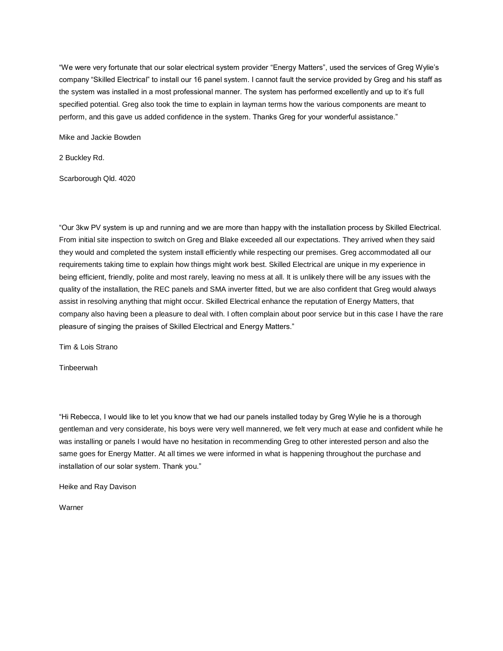"We were very fortunate that our solar electrical system provider "Energy Matters", used the services of Greg Wylie's company "Skilled Electrical" to install our 16 panel system. I cannot fault the service provided by Greg and his staff as the system was installed in a most professional manner. The system has performed excellently and up to it's full specified potential. Greg also took the time to explain in layman terms how the various components are meant to perform, and this gave us added confidence in the system. Thanks Greg for your wonderful assistance."

Mike and Jackie Bowden

2 Buckley Rd.

Scarborough Qld. 4020

"Our 3kw PV system is up and running and we are more than happy with the installation process by Skilled Electrical. From initial site inspection to switch on Greg and Blake exceeded all our expectations. They arrived when they said they would and completed the system install efficiently while respecting our premises. Greg accommodated all our requirements taking time to explain how things might work best. Skilled Electrical are unique in my experience in being efficient, friendly, polite and most rarely, leaving no mess at all. It is unlikely there will be any issues with the quality of the installation, the REC panels and SMA inverter fitted, but we are also confident that Greg would always assist in resolving anything that might occur. Skilled Electrical enhance the reputation of Energy Matters, that company also having been a pleasure to deal with. I often complain about poor service but in this case I have the rare pleasure of singing the praises of Skilled Electrical and Energy Matters."

Tim & Lois Strano

**Tinbeerwah** 

"Hi Rebecca, I would like to let you know that we had our panels installed today by Greg Wylie he is a thorough gentleman and very considerate, his boys were very well mannered, we felt very much at ease and confident while he was installing or panels I would have no hesitation in recommending Greg to other interested person and also the same goes for Energy Matter. At all times we were informed in what is happening throughout the purchase and installation of our solar system. Thank you."

Heike and Ray Davison

Warner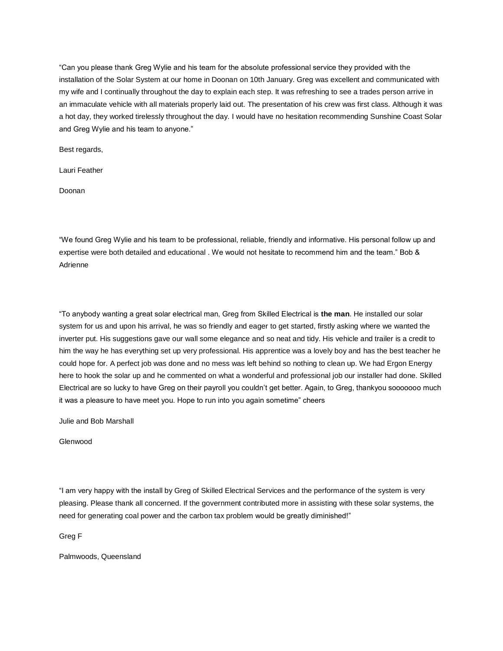"Can you please thank Greg Wylie and his team for the absolute professional service they provided with the installation of the Solar System at our home in Doonan on 10th January. Greg was excellent and communicated with my wife and I continually throughout the day to explain each step. It was refreshing to see a trades person arrive in an immaculate vehicle with all materials properly laid out. The presentation of his crew was first class. Although it was a hot day, they worked tirelessly throughout the day. I would have no hesitation recommending Sunshine Coast Solar and Greg Wylie and his team to anyone."

Best regards,

Lauri Feather

Doonan

"We found Greg Wylie and his team to be professional, reliable, friendly and informative. His personal follow up and expertise were both detailed and educational . We would not hesitate to recommend him and the team." Bob & Adrienne

"To anybody wanting a great solar electrical man, Greg from Skilled Electrical is **the man**. He installed our solar system for us and upon his arrival, he was so friendly and eager to get started, firstly asking where we wanted the inverter put. His suggestions gave our wall some elegance and so neat and tidy. His vehicle and trailer is a credit to him the way he has everything set up very professional. His apprentice was a lovely boy and has the best teacher he could hope for. A perfect job was done and no mess was left behind so nothing to clean up. We had Ergon Energy here to hook the solar up and he commented on what a wonderful and professional job our installer had done. Skilled Electrical are so lucky to have Greg on their payroll you couldn't get better. Again, to Greg, thankyou sooooooo much it was a pleasure to have meet you. Hope to run into you again sometime" cheers

Julie and Bob Marshall

Glenwood

"I am very happy with the install by Greg of Skilled Electrical Services and the performance of the system is very pleasing. Please thank all concerned. If the government contributed more in assisting with these solar systems, the need for generating coal power and the carbon tax problem would be greatly diminished!"

Greg F

Palmwoods, Queensland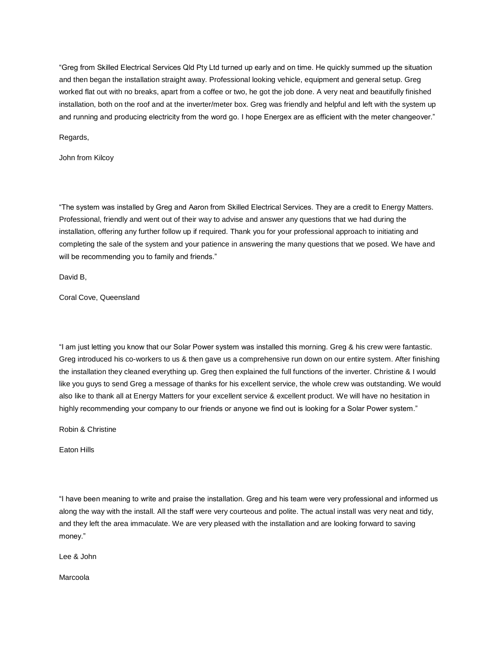"Greg from Skilled Electrical Services Qld Pty Ltd turned up early and on time. He quickly summed up the situation and then began the installation straight away. Professional looking vehicle, equipment and general setup. Greg worked flat out with no breaks, apart from a coffee or two, he got the job done. A very neat and beautifully finished installation, both on the roof and at the inverter/meter box. Greg was friendly and helpful and left with the system up and running and producing electricity from the word go. I hope Energex are as efficient with the meter changeover."

Regards,

John from Kilcoy

"The system was installed by Greg and Aaron from Skilled Electrical Services. They are a credit to Energy Matters. Professional, friendly and went out of their way to advise and answer any questions that we had during the installation, offering any further follow up if required. Thank you for your professional approach to initiating and completing the sale of the system and your patience in answering the many questions that we posed. We have and will be recommending you to family and friends."

David B,

Coral Cove, Queensland

"I am just letting you know that our Solar Power system was installed this morning. Greg & his crew were fantastic. Greg introduced his co-workers to us & then gave us a comprehensive run down on our entire system. After finishing the installation they cleaned everything up. Greg then explained the full functions of the inverter. Christine & I would like you guys to send Greg a message of thanks for his excellent service, the whole crew was outstanding. We would also like to thank all at Energy Matters for your excellent service & excellent product. We will have no hesitation in highly recommending your company to our friends or anyone we find out is looking for a Solar Power system."

Robin & Christine

Eaton Hills

"I have been meaning to write and praise the installation. Greg and his team were very professional and informed us along the way with the install. All the staff were very courteous and polite. The actual install was very neat and tidy, and they left the area immaculate. We are very pleased with the installation and are looking forward to saving money."

Lee & John

Marcoola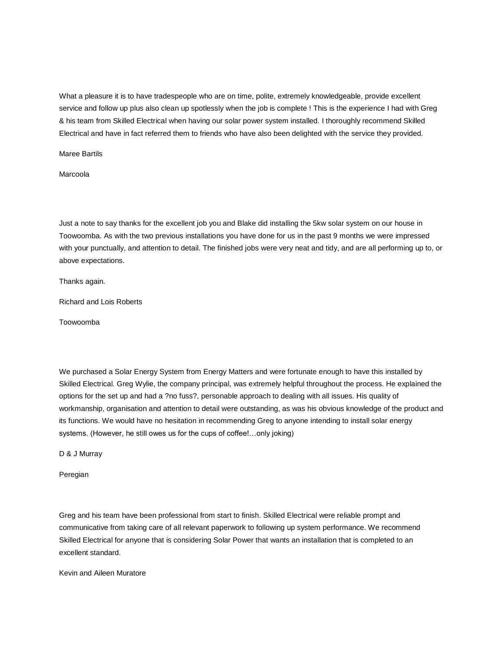What a pleasure it is to have tradespeople who are on time, polite, extremely knowledgeable, provide excellent service and follow up plus also clean up spotlessly when the job is complete ! This is the experience I had with Greg & his team from Skilled Electrical when having our solar power system installed. I thoroughly recommend Skilled Electrical and have in fact referred them to friends who have also been delighted with the service they provided.

Maree Bartils

Marcoola

Just a note to say thanks for the excellent job you and Blake did installing the 5kw solar system on our house in Toowoomba. As with the two previous installations you have done for us in the past 9 months we were impressed with your punctually, and attention to detail. The finished jobs were very neat and tidy, and are all performing up to, or above expectations.

Thanks again.

Richard and Lois Roberts

Toowoomba

We purchased a Solar Energy System from Energy Matters and were fortunate enough to have this installed by Skilled Electrical. Greg Wylie, the company principal, was extremely helpful throughout the process. He explained the options for the set up and had a ?no fuss?, personable approach to dealing with all issues. His quality of workmanship, organisation and attention to detail were outstanding, as was his obvious knowledge of the product and its functions. We would have no hesitation in recommending Greg to anyone intending to install solar energy systems. (However, he still owes us for the cups of coffee!…only joking)

D & J Murray

Peregian

Greg and his team have been professional from start to finish. Skilled Electrical were reliable prompt and communicative from taking care of all relevant paperwork to following up system performance. We recommend Skilled Electrical for anyone that is considering Solar Power that wants an installation that is completed to an excellent standard.

Kevin and Aileen Muratore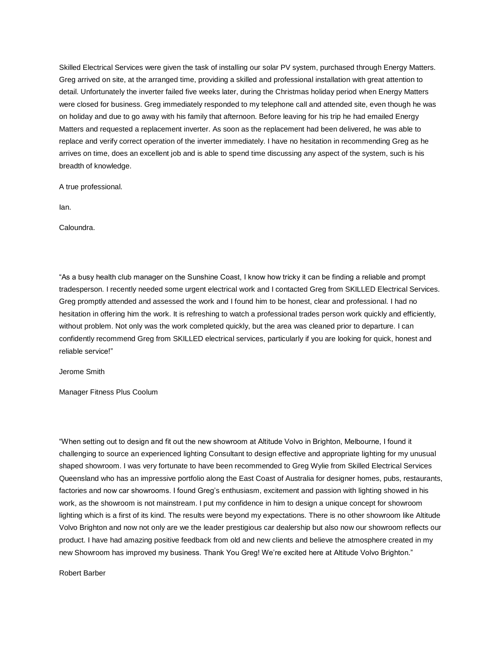Skilled Electrical Services were given the task of installing our solar PV system, purchased through Energy Matters. Greg arrived on site, at the arranged time, providing a skilled and professional installation with great attention to detail. Unfortunately the inverter failed five weeks later, during the Christmas holiday period when Energy Matters were closed for business. Greg immediately responded to my telephone call and attended site, even though he was on holiday and due to go away with his family that afternoon. Before leaving for his trip he had emailed Energy Matters and requested a replacement inverter. As soon as the replacement had been delivered, he was able to replace and verify correct operation of the inverter immediately. I have no hesitation in recommending Greg as he arrives on time, does an excellent job and is able to spend time discussing any aspect of the system, such is his breadth of knowledge.

A true professional.

Ian.

Caloundra.

"As a busy health club manager on the Sunshine Coast, I know how tricky it can be finding a reliable and prompt tradesperson. I recently needed some urgent electrical work and I contacted Greg from SKILLED Electrical Services. Greg promptly attended and assessed the work and I found him to be honest, clear and professional. I had no hesitation in offering him the work. It is refreshing to watch a professional trades person work quickly and efficiently, without problem. Not only was the work completed quickly, but the area was cleaned prior to departure. I can confidently recommend Greg from SKILLED electrical services, particularly if you are looking for quick, honest and reliable service!"

Jerome Smith

Manager Fitness Plus Coolum

"When setting out to design and fit out the new showroom at Altitude Volvo in Brighton, Melbourne, I found it challenging to source an experienced lighting Consultant to design effective and appropriate lighting for my unusual shaped showroom. I was very fortunate to have been recommended to Greg Wylie from Skilled Electrical Services Queensland who has an impressive portfolio along the East Coast of Australia for designer homes, pubs, restaurants, factories and now car showrooms. I found Greg's enthusiasm, excitement and passion with lighting showed in his work, as the showroom is not mainstream. I put my confidence in him to design a unique concept for showroom lighting which is a first of its kind. The results were beyond my expectations. There is no other showroom like Altitude Volvo Brighton and now not only are we the leader prestigious car dealership but also now our showroom reflects our product. I have had amazing positive feedback from old and new clients and believe the atmosphere created in my new Showroom has improved my business. Thank You Greg! We're excited here at Altitude Volvo Brighton."

Robert Barber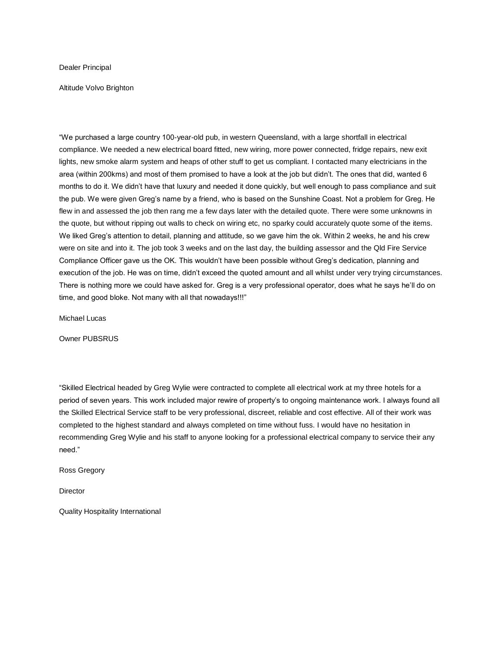Dealer Principal

Altitude Volvo Brighton

"We purchased a large country 100-year-old pub, in western Queensland, with a large shortfall in electrical compliance. We needed a new electrical board fitted, new wiring, more power connected, fridge repairs, new exit lights, new smoke alarm system and heaps of other stuff to get us compliant. I contacted many electricians in the area (within 200kms) and most of them promised to have a look at the job but didn't. The ones that did, wanted 6 months to do it. We didn't have that luxury and needed it done quickly, but well enough to pass compliance and suit the pub. We were given Greg's name by a friend, who is based on the Sunshine Coast. Not a problem for Greg. He flew in and assessed the job then rang me a few days later with the detailed quote. There were some unknowns in the quote, but without ripping out walls to check on wiring etc, no sparky could accurately quote some of the items. We liked Greg's attention to detail, planning and attitude, so we gave him the ok. Within 2 weeks, he and his crew were on site and into it. The job took 3 weeks and on the last day, the building assessor and the Qld Fire Service Compliance Officer gave us the OK. This wouldn't have been possible without Greg's dedication, planning and execution of the job. He was on time, didn't exceed the quoted amount and all whilst under very trying circumstances. There is nothing more we could have asked for. Greg is a very professional operator, does what he says he'll do on time, and good bloke. Not many with all that nowadays!!!"

Michael Lucas

Owner PUBSRUS

"Skilled Electrical headed by Greg Wylie were contracted to complete all electrical work at my three hotels for a period of seven years. This work included major rewire of property's to ongoing maintenance work. I always found all the Skilled Electrical Service staff to be very professional, discreet, reliable and cost effective. All of their work was completed to the highest standard and always completed on time without fuss. I would have no hesitation in recommending Greg Wylie and his staff to anyone looking for a professional electrical company to service their any need."

Ross Gregory

**Director** 

Quality Hospitality International